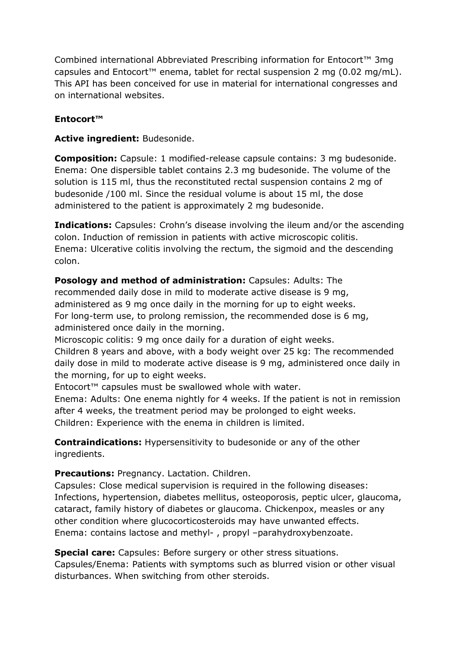Combined international Abbreviated Prescribing information for Entocort™ 3mg capsules and Entocort™ enema, tablet for rectal suspension 2 mg (0.02 mg/mL). This API has been conceived for use in material for international congresses and on international websites.

## **Entocort™**

## **Active ingredient:** Budesonide.

**Composition:** Capsule: 1 modified-release capsule contains: 3 mg budesonide. Enema: One dispersible tablet contains 2.3 mg budesonide. The volume of the solution is 115 ml, thus the reconstituted rectal suspension contains 2 mg of budesonide /100 ml. Since the residual volume is about 15 ml, the dose administered to the patient is approximately 2 mg budesonide.

**Indications:** Capsules: Crohn's disease involving the ileum and/or the ascending colon. Induction of remission in patients with active microscopic colitis. Enema: Ulcerative colitis involving the rectum, the sigmoid and the descending colon.

**Posology and method of administration:** Capsules: Adults: The recommended daily dose in mild to moderate active disease is 9 mg, administered as 9 mg once daily in the morning for up to eight weeks. For long-term use, to prolong remission, the recommended dose is 6 mg, administered once daily in the morning.

Microscopic colitis: 9 mg once daily for a duration of eight weeks.

Children 8 years and above, with a body weight over 25 kg: The recommended daily dose in mild to moderate active disease is 9 mg, administered once daily in the morning, for up to eight weeks.

Entocort™ capsules must be swallowed whole with water.

Enema: Adults: One enema nightly for 4 weeks. If the patient is not in remission after 4 weeks, the treatment period may be prolonged to eight weeks. Children: Experience with the enema in children is limited.

**Contraindications:** Hypersensitivity to budesonide or any of the other ingredients.

**Precautions:** Pregnancy. Lactation. Children.

Capsules: Close medical supervision is required in the following diseases: Infections, hypertension, diabetes mellitus, osteoporosis, peptic ulcer, glaucoma, cataract, family history of diabetes or glaucoma. Chickenpox, measles or any other condition where glucocorticosteroids may have unwanted effects. Enema: contains lactose and methyl- , propyl –parahydroxybenzoate.

**Special care:** Capsules: Before surgery or other stress situations.

Capsules/Enema: Patients with symptoms such as blurred vision or other visual disturbances. When switching from other steroids.